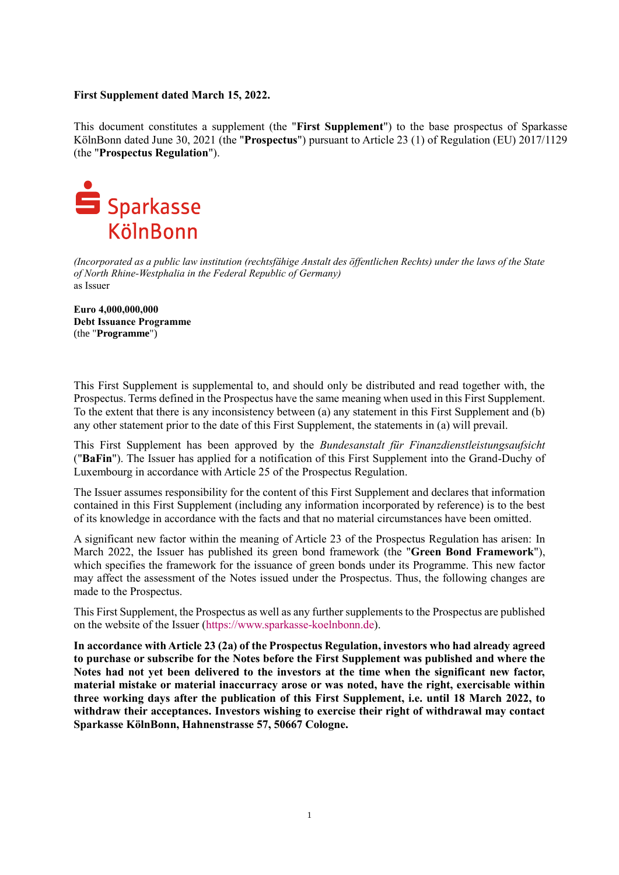## **First Supplement dated March 15, 2022.**

This document constitutes a supplement (the "**First Supplement**") to the base prospectus of Sparkasse KölnBonn dated June 30, 2021 (the "**Prospectus**") pursuant to Article 23 (1) of Regulation (EU) 2017/1129 (the "**Prospectus Regulation**").



*(Incorporated as a public law institution (rechtsfähige Anstalt des öffentlichen Rechts) under the laws of the State of North Rhine-Westphalia in the Federal Republic of Germany)* as Issuer

**Euro 4,000,000,000 Debt Issuance Programme** (the "**Programme**")

This First Supplement is supplemental to, and should only be distributed and read together with, the Prospectus. Terms defined in the Prospectus have the same meaning when used in this First Supplement. To the extent that there is any inconsistency between (a) any statement in this First Supplement and (b) any other statement prior to the date of this First Supplement, the statements in (a) will prevail.

This First Supplement has been approved by the *Bundesanstalt für Finanzdienstleistungsaufsicht* ("**BaFin**"). The Issuer has applied for a notification of this First Supplement into the Grand-Duchy of Luxembourg in accordance with Article 25 of the Prospectus Regulation.

The Issuer assumes responsibility for the content of this First Supplement and declares that information contained in this First Supplement (including any information incorporated by reference) is to the best of its knowledge in accordance with the facts and that no material circumstances have been omitted.

A significant new factor within the meaning of Article 23 of the Prospectus Regulation has arisen: In March 2022, the Issuer has published its green bond framework (the "**Green Bond Framework**"), which specifies the framework for the issuance of green bonds under its Programme. This new factor may affect the assessment of the Notes issued under the Prospectus. Thus, the following changes are made to the Prospectus.

This First Supplement, the Prospectus as well as any further supplements to the Prospectus are published on the website of the Issuer [\(https://www.sparkasse-koelnbonn.de\)](https://www.sparkasse-koelnbonn.de/).

**In accordance with Article 23 (2a) of the Prospectus Regulation, investors who had already agreed to purchase or subscribe for the Notes before the First Supplement was published and where the Notes had not yet been delivered to the investors at the time when the significant new factor, material mistake or material inaccurracy arose or was noted, have the right, exercisable within three working days after the publication of this First Supplement, i.e. until 18 March 2022, to withdraw their acceptances. Investors wishing to exercise their right of withdrawal may contact Sparkasse KölnBonn, Hahnenstrasse 57, 50667 Cologne.**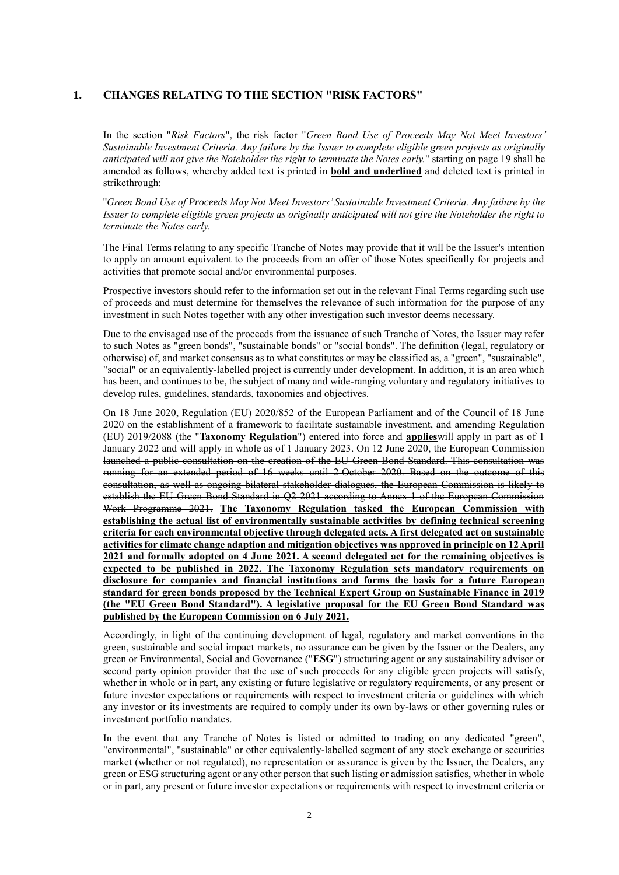### **1. CHANGES RELATING TO THE SECTION "RISK FACTORS"**

In the section "*Risk Factors*", the risk factor "*Green Bond Use of Proceeds May Not Meet Investors' Sustainable Investment Criteria. Any failure by the Issuer to complete eligible green projects as originally anticipated will not give the Noteholder the right to terminate the Notes early.*" starting on page 19 shall be amended as follows, whereby added text is printed in **bold and underlined** and deleted text is printed in strikethrough:

"*Green Bond Use of Proceeds May Not Meet Investors' Sustainable Investment Criteria. Any failure by the Issuer to complete eligible green projects as originally anticipated will not give the Noteholder the right to terminate the Notes early.* 

The Final Terms relating to any specific Tranche of Notes may provide that it will be the Issuer's intention to apply an amount equivalent to the proceeds from an offer of those Notes specifically for projects and activities that promote social and/or environmental purposes.

Prospective investors should refer to the information set out in the relevant Final Terms regarding such use of proceeds and must determine for themselves the relevance of such information for the purpose of any investment in such Notes together with any other investigation such investor deems necessary.

Due to the envisaged use of the proceeds from the issuance of such Tranche of Notes, the Issuer may refer to such Notes as "green bonds", "sustainable bonds" or "social bonds". The definition (legal, regulatory or otherwise) of, and market consensus as to what constitutes or may be classified as, a "green", "sustainable", "social" or an equivalently-labelled project is currently under development. In addition, it is an area which has been, and continues to be, the subject of many and wide-ranging voluntary and regulatory initiatives to develop rules, guidelines, standards, taxonomies and objectives.

On 18 June 2020, Regulation (EU) 2020/852 of the European Parliament and of the Council of 18 June 2020 on the establishment of a framework to facilitate sustainable investment, and amending Regulation (EU) 2019/2088 (the "**Taxonomy Regulation**") entered into force and **applies**will apply in part as of 1 January 2022 and will apply in whole as of 1 January 2023. On 12 June 2020, the European Commission launched a public consultation on the creation of the EU Green Bond Standard. This consultation was running for an extended period of 16 weeks until 2 October 2020. Based on the outcome of this consultation, as well as ongoing bilateral stakeholder dialogues, the European Commission is likely to establish the EU Green Bond Standard in Q2 2021 according to Annex 1 of the European Commission Work Programme 2021. **The Taxonomy Regulation tasked the European Commission with establishing the actual list of environmentally sustainable activities by defining technical screening criteria for each environmental objective through delegated acts. A first delegated act on sustainable activities for climate change adaption and mitigation objectives was approved in principle on 12 April 2021 and formally adopted on 4 June 2021. A second delegated act for the remaining objectives is expected to be published in 2022. The Taxonomy Regulation sets mandatory requirements on disclosure for companies and financial institutions and forms the basis for a future European standard for green bonds proposed by the Technical Expert Group on Sustainable Finance in 2019 (the "EU Green Bond Standard"). A legislative proposal for the EU Green Bond Standard was published by the European Commission on 6 July 2021.**

Accordingly, in light of the continuing development of legal, regulatory and market conventions in the green, sustainable and social impact markets, no assurance can be given by the Issuer or the Dealers, any green or Environmental, Social and Governance ("**ESG**") structuring agent or any sustainability advisor or second party opinion provider that the use of such proceeds for any eligible green projects will satisfy, whether in whole or in part, any existing or future legislative or regulatory requirements, or any present or future investor expectations or requirements with respect to investment criteria or guidelines with which any investor or its investments are required to comply under its own by-laws or other governing rules or investment portfolio mandates.

In the event that any Tranche of Notes is listed or admitted to trading on any dedicated "green", "environmental", "sustainable" or other equivalently-labelled segment of any stock exchange or securities market (whether or not regulated), no representation or assurance is given by the Issuer, the Dealers, any green or ESG structuring agent or any other person that such listing or admission satisfies, whether in whole or in part, any present or future investor expectations or requirements with respect to investment criteria or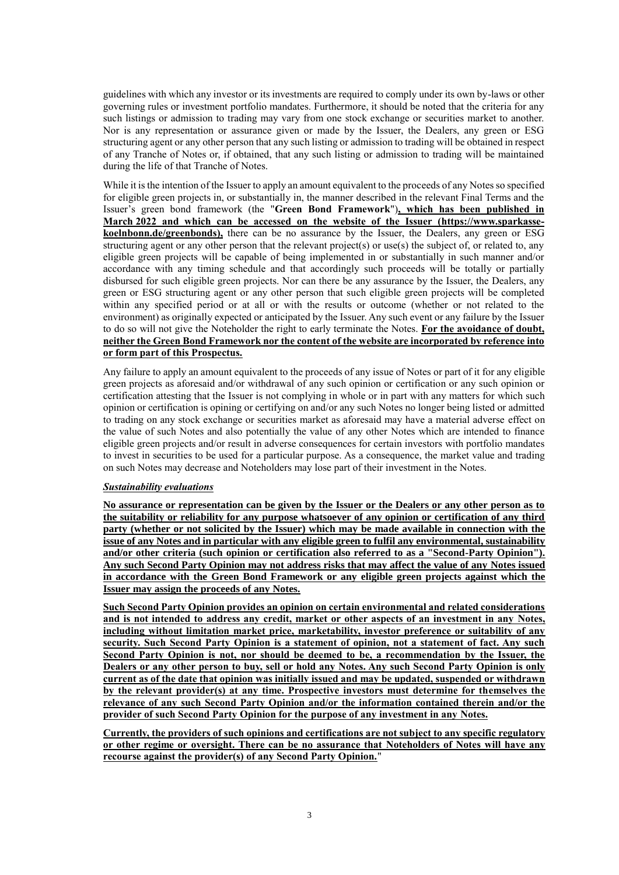guidelines with which any investor or its investments are required to comply under its own by-laws or other governing rules or investment portfolio mandates. Furthermore, it should be noted that the criteria for any such listings or admission to trading may vary from one stock exchange or securities market to another. Nor is any representation or assurance given or made by the Issuer, the Dealers, any green or ESG structuring agent or any other person that any such listing or admission to trading will be obtained in respect of any Tranche of Notes or, if obtained, that any such listing or admission to trading will be maintained during the life of that Tranche of Notes.

While it is the intention of the Issuer to apply an amount equivalent to the proceeds of any Notes so specified for eligible green projects in, or substantially in, the manner described in the relevant Final Terms and the Issuer's green bond framework (the "**Green Bond Framework**")**, which has been published in March 2022 and which can be accessed on the website of the Issuer [\(https://www.sparkasse](https://www.sparkasse-koelnbonn.de/greenbonds)[koelnbonn.de/greenbonds\)](https://www.sparkasse-koelnbonn.de/greenbonds),** there can be no assurance by the Issuer, the Dealers, any green or ESG structuring agent or any other person that the relevant project(s) or use(s) the subject of, or related to, any eligible green projects will be capable of being implemented in or substantially in such manner and/or accordance with any timing schedule and that accordingly such proceeds will be totally or partially disbursed for such eligible green projects. Nor can there be any assurance by the Issuer, the Dealers, any green or ESG structuring agent or any other person that such eligible green projects will be completed within any specified period or at all or with the results or outcome (whether or not related to the environment) as originally expected or anticipated by the Issuer. Any such event or any failure by the Issuer to do so will not give the Noteholder the right to early terminate the Notes. **For the avoidance of doubt, neither the Green Bond Framework nor the content of the website are incorporated by reference into or form part of this Prospectus.**

Any failure to apply an amount equivalent to the proceeds of any issue of Notes or part of it for any eligible green projects as aforesaid and/or withdrawal of any such opinion or certification or any such opinion or certification attesting that the Issuer is not complying in whole or in part with any matters for which such opinion or certification is opining or certifying on and/or any such Notes no longer being listed or admitted to trading on any stock exchange or securities market as aforesaid may have a material adverse effect on the value of such Notes and also potentially the value of any other Notes which are intended to finance eligible green projects and/or result in adverse consequences for certain investors with portfolio mandates to invest in securities to be used for a particular purpose. As a consequence, the market value and trading on such Notes may decrease and Noteholders may lose part of their investment in the Notes.

#### *Sustainability evaluations*

**No assurance or representation can be given by the Issuer or the Dealers or any other person as to the suitability or reliability for any purpose whatsoever of any opinion or certification of any third party (whether or not solicited by the Issuer) which may be made available in connection with the issue of any Notes and in particular with any eligible green to fulfil any environmental, sustainability and/or other criteria (such opinion or certification also referred to as a "Second-Party Opinion"). Any such Second Party Opinion may not address risks that may affect the value of any Notes issued in accordance with the Green Bond Framework or any eligible green projects against which the Issuer may assign the proceeds of any Notes.** 

**Such Second Party Opinion provides an opinion on certain environmental and related considerations and is not intended to address any credit, market or other aspects of an investment in any Notes, including without limitation market price, marketability, investor preference or suitability of any security. Such Second Party Opinion is a statement of opinion, not a statement of fact. Any such Second Party Opinion is not, nor should be deemed to be, a recommendation by the Issuer, the Dealers or any other person to buy, sell or hold any Notes. Any such Second Party Opinion is only current as of the date that opinion was initially issued and may be updated, suspended or withdrawn by the relevant provider(s) at any time. Prospective investors must determine for themselves the relevance of any such Second Party Opinion and/or the information contained therein and/or the provider of such Second Party Opinion for the purpose of any investment in any Notes.**

**Currently, the providers of such opinions and certifications are not subject to any specific regulatory or other regime or oversight. There can be no assurance that Noteholders of Notes will have any recourse against the provider(s) of any Second Party Opinion.**"